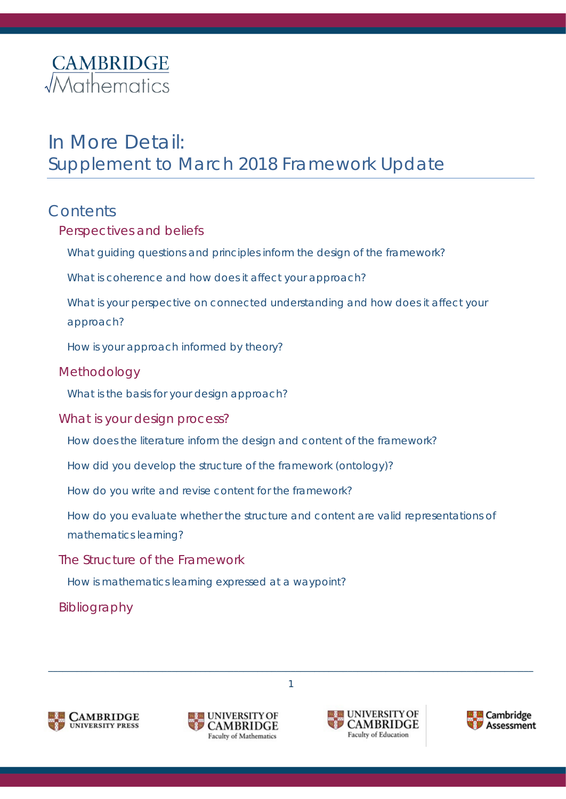# **CAMBRIDGE**<br> *Mathematics*

# In More Detail: Supplement to March 2018 Framework Update

### **Contents**

| Perspectives and beliefs                                                                     |  |  |
|----------------------------------------------------------------------------------------------|--|--|
| What guiding questions and principles inform the design of the framework?                    |  |  |
| What is coherence and how does it affect your approach?                                      |  |  |
| What is your perspective on connected understanding and how does it affect your<br>approach? |  |  |
| How is your approach informed by theory?                                                     |  |  |
| Methodology                                                                                  |  |  |
| What is the basis for your design approach?                                                  |  |  |
| What is your design process?                                                                 |  |  |
| How does the literature inform the design and content of the framework?                      |  |  |
| How did you develop the structure of the framework (ontology)?                               |  |  |
| How do you write and revise content for the framework?                                       |  |  |
| How do you evaluate whether the structure and content are valid representations of           |  |  |
| mathematics learning?                                                                        |  |  |
| The Structure of the Framework                                                               |  |  |

\_\_\_\_\_\_\_\_\_\_\_\_\_\_\_\_\_\_\_\_\_\_\_\_\_\_\_\_\_\_\_\_\_\_\_\_\_\_\_\_\_\_\_\_\_\_\_\_\_\_\_\_\_\_\_\_\_\_\_\_\_\_\_\_\_\_\_\_\_\_\_\_\_\_\_\_\_\_\_\_\_\_\_\_\_\_\_\_\_\_\_\_\_\_\_\_\_\_\_\_\_\_ 1

[Bibliography](#page-16-0)







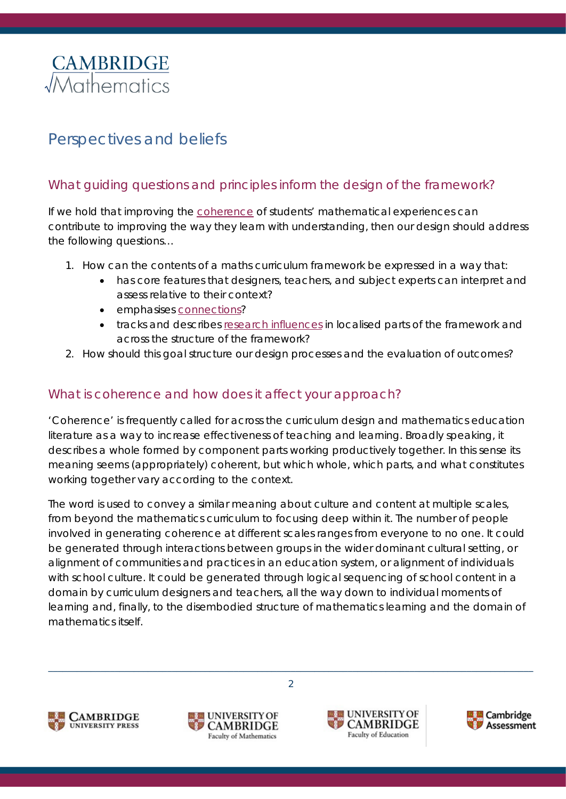

## <span id="page-1-0"></span>Perspectives and beliefs

#### <span id="page-1-1"></span>What guiding questions and principles inform the design of the framework?

If we hold that improving the [coherence](#page-1-2) of students' mathematical experiences can contribute to improving the way they learn with understanding, then our design should address the following questions…

- 1. How can the contents of a maths curriculum framework be expressed in a way that:
	- has core features that designers, teachers, and subject experts can interpret and assess relative to their context?
	- emphasises [connections?](#page-3-0)
	- tracks and describes [research influences](#page-11-0) in localised parts of the framework and across the structure of the framework?
- 2. How should this goal structure our design processes and the evaluation of outcomes?

#### <span id="page-1-2"></span>What is coherence and how does it affect your approach?

'Coherence' is frequently called for across the curriculum design and mathematics education literature as a way to increase effectiveness of teaching and learning. Broadly speaking, it describes a whole formed by component parts working productively together. In this sense its meaning seems (appropriately) coherent, but which whole, which parts, and what constitutes working together vary according to the context.

The word is used to convey a similar meaning about culture and content at multiple scales, from beyond the mathematics curriculum to focusing deep within it. The number of people involved in generating coherence at different scales ranges from everyone to no one. It could be generated through interactions between groups in the wider dominant cultural setting, or alignment of communities and practices in an education system, or alignment of individuals with school culture. It could be generated through logical sequencing of school content in a domain by curriculum designers and teachers, all the way down to individual moments of learning and, finally, to the disembodied structure of mathematics learning and the domain of mathematics itself.







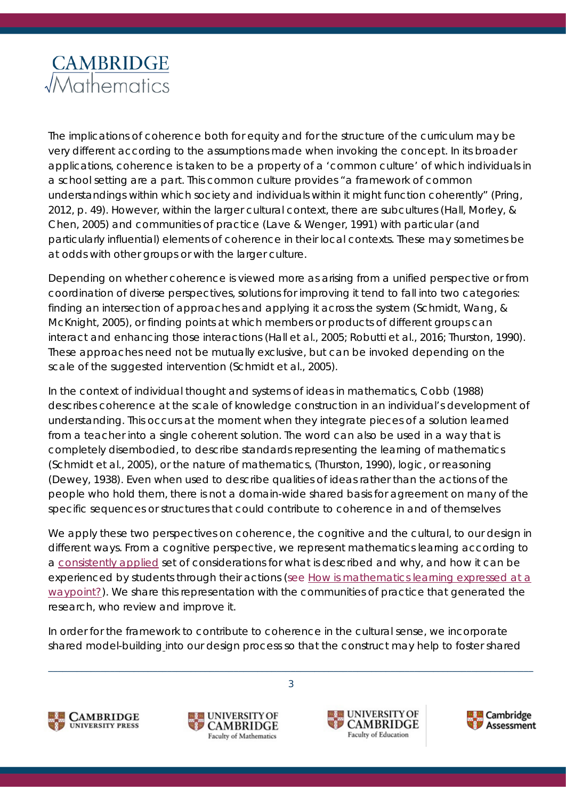

The implications of coherence both for equity and for the structure of the curriculum may be very different according to the assumptions made when invoking the concept. In its broader applications, coherence is taken to be a property of a 'common culture' of which individuals in a school setting are a part. This common culture provides "a framework of common understandings within which society and individuals within it might function coherently" (Pring, 2012, p. 49). However, within the larger cultural context, there are subcultures (Hall, Morley, & Chen, 2005) and communities of practice (Lave & Wenger, 1991) with particular (and particularly influential) elements of coherence in their local contexts. These may sometimes be at odds with other groups or with the larger culture.

Depending on whether coherence is viewed more as arising from a unified perspective or from coordination of diverse perspectives, solutions for improving it tend to fall into two categories: finding an intersection of approaches and applying it across the system (Schmidt, Wang, & McKnight, 2005), or finding points at which members or products of different groups can interact and enhancing those interactions (Hall et al., 2005; Robutti et al., 2016; Thurston, 1990). These approaches need not be mutually exclusive, but can be invoked depending on the scale of the suggested intervention (Schmidt et al., 2005).

In the context of individual thought and systems of ideas in mathematics, Cobb (1988) describes coherence at the scale of knowledge construction in an individual's development of understanding. This occurs at the moment when they integrate pieces of a solution learned from a teacher into a single coherent solution. The word can also be used in a way that is completely disembodied, to describe standards representing the learning of mathematics (Schmidt et al., 2005), or the nature of mathematics, (Thurston, 1990), logic, or reasoning (Dewey, 1938). Even when used to describe qualities of ideas rather than the actions of the people who hold them, there is not a domain-wide shared basis for agreement on many of the specific sequences or structures that could contribute to coherence in and of themselves

We apply these two perspectives on coherence, the cognitive and the cultural, to our design in different ways. From a cognitive perspective, we represent mathematics learning according to a [consistently applied](#page-12-0) set of considerations for *what* is described and *why*, and *how* it can be experienced by students through their actions (see How is mathematics learning expressed at a [waypoint?\)](#page-15-2). We share this representation with the communities of practice that generated the research, who review and improve it.

In order for the framework to contribute to coherence in the cultural sense, we incorporate shared model-building into our design process so that the construct may help to foster shared







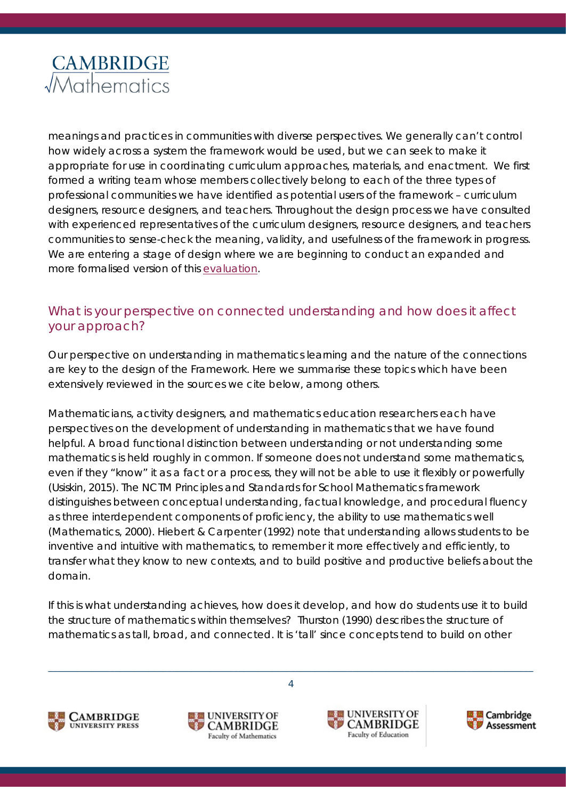meanings and practices in communities with diverse perspectives. We generally can't control how widely across a system the framework would be used, but we can seek to make it appropriate for use in coordinating curriculum approaches, materials, and enactment. We first formed a writing team whose members collectively belong to each of the three types of professional communities we have identified as potential users of the framework – curriculum designers, resource designers, and teachers. Throughout the design process we have consulted with experienced representatives of the curriculum designers, resource designers, and teachers communities to sense-check the meaning, validity, and usefulness of the framework in progress. We are entering a stage of design where we are beginning to conduct an expanded and more formalised version of this [evaluation.](#page-13-0)

#### <span id="page-3-0"></span>What is your perspective on connected understanding and how does it affect your approach?

Our perspective on understanding in mathematics learning and the nature of the connections are key to the design of the Framework. Here we summarise these topics which have been extensively reviewed in the sources we cite below, among others.

Mathematicians, activity designers, and mathematics education researchers each have perspectives on the development of understanding in mathematics that we have found helpful. A broad functional distinction between understanding or not understanding some mathematics is held roughly in common. If someone does not understand some mathematics, even if they "know" it as a fact or a process, they will not be able to use it flexibly or powerfully (Usiskin, 2015). The NCTM Principles and Standards for School Mathematics framework distinguishes between conceptual understanding, factual knowledge, and procedural fluency as three interdependent components of *proficiency*, the ability to use mathematics well (Mathematics, 2000). Hiebert & Carpenter (1992) note that understanding allows students to be inventive and intuitive with mathematics, to remember it more effectively and efficiently, to transfer what they know to new contexts, and to build positive and productive beliefs about the domain.

If this is what understanding achieves, how does it develop, and how do students use it to build the structure of mathematics within themselves? Thurston (1990) describes the structure of mathematics as tall, broad, and connected. It is 'tall' since concepts tend to build on other







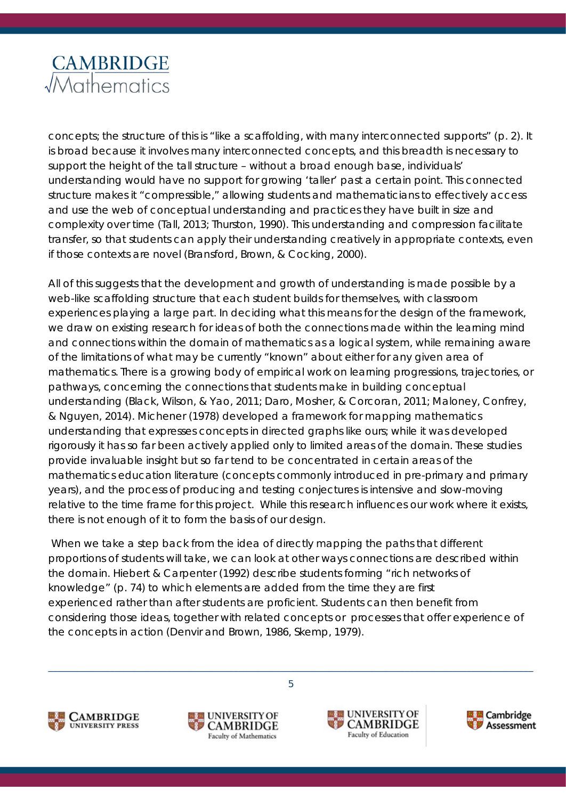

concepts; the structure of this is "like a scaffolding, with many interconnected supports" (p. 2). It is broad because it involves many interconnected concepts, and this breadth is necessary to support the height of the tall structure – without a broad enough base, individuals' understanding would have no support for growing 'taller' past a certain point. This connected structure makes it "compressible," allowing students and mathematicians to effectively access and use the web of conceptual understanding and practices they have built in size and complexity over time (Tall, 2013; Thurston, 1990). This understanding and compression facilitate transfer, so that students can apply their understanding creatively in appropriate contexts, even if those contexts are novel (Bransford, Brown, & Cocking, 2000).

All of this suggests that the development and growth of understanding is made possible by a web-like scaffolding structure that each student builds for themselves, with classroom experiences playing a large part. In deciding what this means for the design of the framework, we draw on existing research for ideas of both the connections made within the learning mind and connections within the domain of mathematics as a logical system, while remaining aware of the limitations of what may be currently "known" about either for any given area of mathematics. There is a growing body of empirical work on learning progressions, trajectories, or pathways, concerning the connections that students make in building conceptual understanding (Black, Wilson, & Yao, 2011; Daro, Mosher, & Corcoran, 2011; Maloney, Confrey, & Nguyen, 2014). Michener (1978) developed a framework for mapping mathematics understanding that expresses concepts in directed graphs like ours; while it was developed rigorously it has so far been actively applied only to limited areas of the domain. These studies provide invaluable insight but so far tend to be concentrated in certain areas of the mathematics education literature (concepts commonly introduced in pre-primary and primary years), and the process of producing and testing conjectures is intensive and slow-moving relative to the time frame for this project. While this research influences our work where it exists, there is not enough of it to form the basis of our design.

When we take a step back from the idea of directly mapping the paths that different proportions of students will take, we can look at other ways connections are described within the domain. Hiebert & Carpenter (1992) describe students forming "rich networks of knowledge" (p. 74) to which elements are added *from the time they are first experienced* rather than after students are proficient. Students can then benefit from considering those ideas, together with related concepts or processes that offer experience of the concepts in action (Denvir and Brown, 1986, Skemp, 1979).







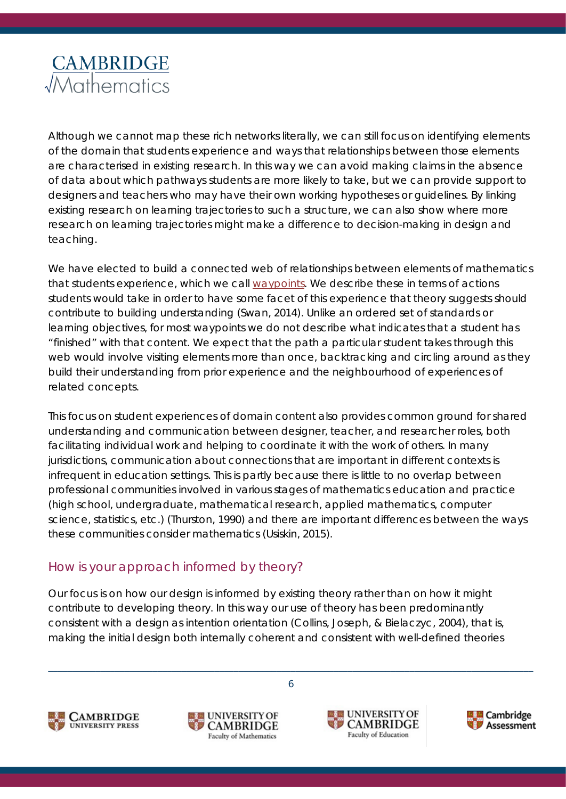

Although we cannot map these rich networks literally, we can still focus on identifying elements of the domain that students experience and ways that relationships between those elements are characterised in existing research. In this way we can avoid making claims in the absence of data about which pathways students are more likely to take, but we can provide support to designers and teachers who may have their own working hypotheses or guidelines. By linking existing research on learning trajectories to such a structure, we can also show where more research on learning trajectories might make a difference to decision-making in design and teaching.

We have elected to build a connected web of relationships between elements of mathematics that students experience, which we call [waypoints.](#page-15-2) We describe these in terms of actions students would take in order to have some facet of this experience that theory suggests should contribute to building understanding (Swan, 2014). Unlike an ordered set of standards or learning objectives, for most waypoints we do not describe what indicates that a student has "finished" with that content. We expect that the path a particular student takes through this web would involve visiting elements more than once, backtracking and circling around as they build their understanding from prior experience and the neighbourhood of experiences of related concepts.

This focus on student experiences of domain content also provides common ground for shared understanding and communication between designer, teacher, and researcher roles, both facilitating individual work and helping to coordinate it with the work of others. In many jurisdictions, communication about connections that are important in different contexts is infrequent in education settings. This is partly because there is little to no overlap between professional communities involved in various stages of mathematics education and practice (high school, undergraduate, mathematical research, applied mathematics, computer science, statistics, etc.) (Thurston, 1990) and there are important differences between the ways these communities consider mathematics (Usiskin, 2015).

#### <span id="page-5-0"></span>How is your approach informed by theory?

Our focus is on how our design is informed by existing theory rather than on how it might contribute to developing theory. In this way our use of theory has been predominantly consistent with a *design as intention* orientation (Collins, Joseph, & Bielaczyc, 2004), that is, making the initial design both internally coherent and consistent with well-defined theories







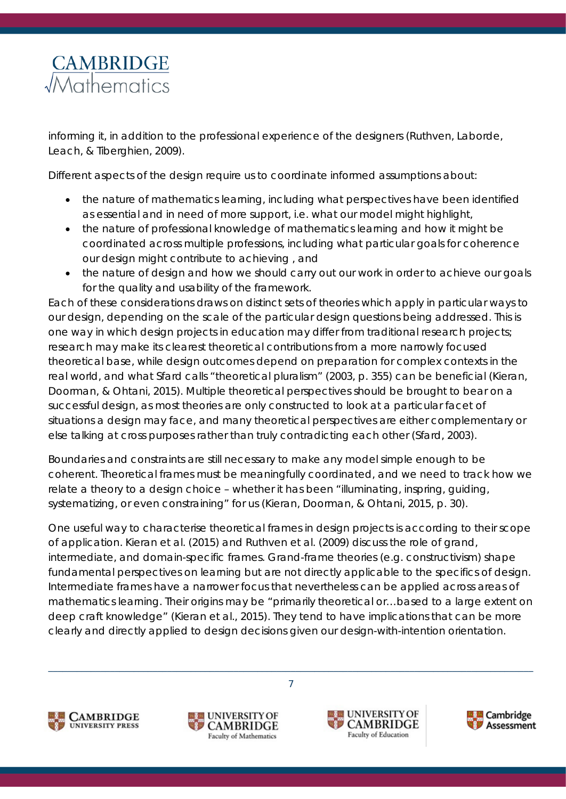informing it, in addition to the professional experience of the designers (Ruthven, Laborde, Leach, & Tiberghien, 2009).

Different aspects of the design require us to coordinate informed assumptions about:

- the nature of mathematics learning, including what perspectives have been identified as essential and in need of more support, i.e. what our model might highlight,
- the nature of professional knowledge of mathematics learning and how it might be coordinated across multiple professions, including what particular goals for coherence our design might contribute to achieving , and
- the nature of design and how we should carry out our work in order to achieve our goals for the quality and usability of the framework.

Each of these considerations draws on distinct sets of theories which apply in particular ways to our design, depending on the scale of the particular design questions being addressed. This is one way in which design projects in education may differ from traditional research projects; research may make its clearest theoretical contributions from a more narrowly focused theoretical base, while design outcomes depend on preparation for complex contexts in the real world, and what Sfard calls "theoretical pluralism" (2003, p. 355) can be beneficial (Kieran, Doorman, & Ohtani, 2015). Multiple theoretical perspectives should be brought to bear on a successful design, as most theories are only constructed to look at a particular facet of situations a design may face, and many theoretical perspectives are either complementary or else talking at cross purposes rather than truly contradicting each other (Sfard, 2003).

Boundaries and constraints are still necessary to make any model simple enough to be coherent. Theoretical frames must be meaningfully coordinated, and we need to track how we relate a theory to a design choice – whether it has been "illuminating, inspring, guiding, systematizing, or even constraining" for us (Kieran, Doorman, & Ohtani, 2015, p. 30).

One useful way to characterise theoretical frames in design projects is according to their scope of application. Kieran et al. (2015) and Ruthven et al. (2009) discuss the role of grand, intermediate, and domain-specific frames. Grand-frame theories (e.g. constructivism) shape fundamental perspectives on learning but are not directly applicable to the specifics of design. Intermediate frames have a narrower focus that nevertheless can be applied across areas of mathematics learning. Their origins may be "primarily theoretical or…based to a large extent on deep craft knowledge" (Kieran et al., 2015). They tend to have implications that can be more clearly and directly applied to design decisions given our *design-with-intention* orientation.







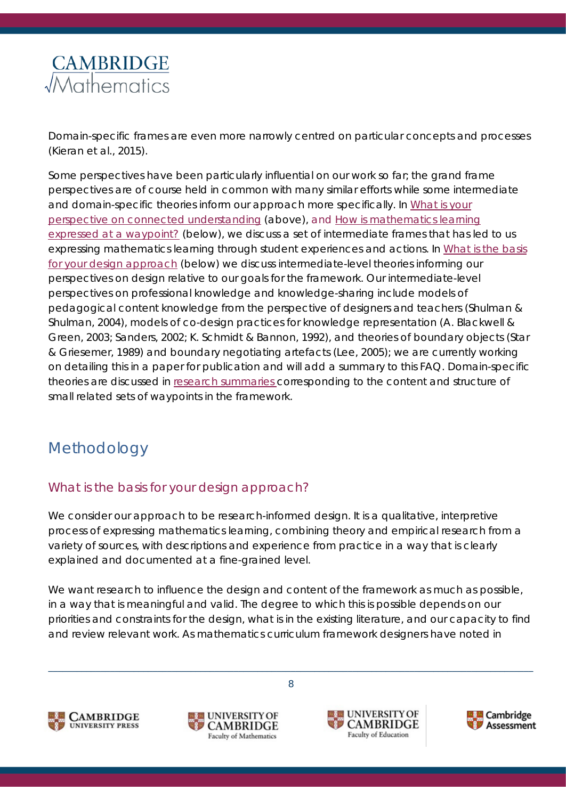Domain-specific frames are even more narrowly centred on particular concepts and processes (Kieran et al., 2015).

Some perspectives have been particularly influential on our work so far; the grand frame perspectives are of course held in common with many similar efforts while some intermediate and domain-specific theories inform our approach more specifically. In *[What is your](#page-3-0)  [perspective on connected understanding](#page-3-0)* (above), and *[How is mathematics learning](#page-15-2)  [expressed at a waypoint?](#page-15-2)* (below), we discuss a set of intermediate frames that has led to us expressing mathematics learning through student experiences and actions. In *[What is the basis](#page-7-2)  [for your design approach](#page-7-2)* (below) we discuss intermediate-level theories informing our perspectives on design relative to our goals for the framework. Our intermediate-level perspectives on professional knowledge and knowledge-sharing include models of pedagogical content knowledge from the perspective of designers and teachers (Shulman & Shulman, 2004), models of co-design practices for knowledge representation (A. Blackwell & Green, 2003; Sanders, 2002; K. Schmidt & Bannon, 1992), and theories of boundary objects (Star & Griesemer, 1989) and boundary negotiating artefacts (Lee, 2005); we are currently working on detailing this in a paper for publication and will add a summary to this FAQ. Domain-specific theories are discussed in [research summaries](#page-11-0) corresponding to the content and structure of small related sets of waypoints in the framework.

## <span id="page-7-0"></span>Methodology

#### <span id="page-7-2"></span><span id="page-7-1"></span>What is the basis for your design approach?

We consider our approach to be research-informed design. It is a qualitative, interpretive process of expressing mathematics learning, combining theory and empirical research from a variety of sources, with descriptions and experience from practice in a way that is clearly explained and documented at a fine-grained level.

We want research to influence the design and content of the framework as much as possible, in a way that is meaningful and valid. The degree to which this *is* possible depends on our priorities and constraints for the design, what is in the existing literature, and our capacity to find and review relevant work. As mathematics curriculum framework designers have noted in







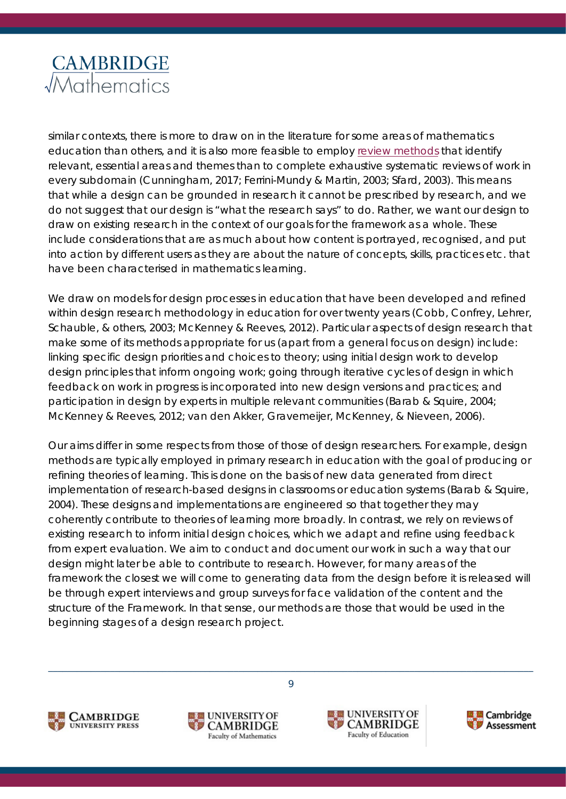

similar contexts, there is more to draw on in the literature for some areas of mathematics education than others, and it is also more feasible to employ [review methods](#page-11-0) that identify relevant, essential areas and themes than to complete exhaustive systematic reviews of work in every subdomain (Cunningham, 2017; Ferrini-Mundy & Martin, 2003; Sfard, 2003). This means that while a design can be grounded in research it cannot be *prescribed* by research, and we do not suggest that our design is "what the research says" to do. Rather, we want our design to draw on existing research in the context of our goals for the framework as a whole. These include considerations that are as much about how content is portrayed, recognised, and put into action by different users as they are about the nature of concepts, skills, practices etc. that have been characterised in mathematics learning.

We draw on models for design processes in education that have been developed and refined within design research methodology in education for over twenty years (Cobb, Confrey, Lehrer, Schauble, & others, 2003; McKenney & Reeves, 2012). Particular aspects of design research that make some of its methods appropriate for us (apart from a general focus on design) include: linking specific design priorities and choices to theory; using initial design work to develop design principles that inform ongoing work; going through iterative cycles of design in which feedback on work in progress is incorporated into new design versions and practices; and participation in design by experts in multiple relevant communities (Barab & Squire, 2004; McKenney & Reeves, 2012; van den Akker, Gravemeijer, McKenney, & Nieveen, 2006).

Our aims differ in some respects from those of those of design researchers. For example, design methods are typically employed in primary research in education with the goal of producing or refining theories of learning. This is done on the basis of new data generated from direct implementation of research-based designs in classrooms or education systems (Barab & Squire, 2004). These designs and implementations are engineered so that together they may coherently contribute to theories of learning more broadly. In contrast, we rely on reviews of existing research to inform initial design choices, which we adapt and refine using feedback from expert evaluation. We aim to conduct and document our work in such a way that our design might later be able to contribute to research. However, for many areas of the framework the closest we will come to generating data from the design before it is released will be through expert interviews and group surveys for face validation of the content and the structure of the Framework. In that sense, our methods are those that would be used in the beginning stages of a design research project.







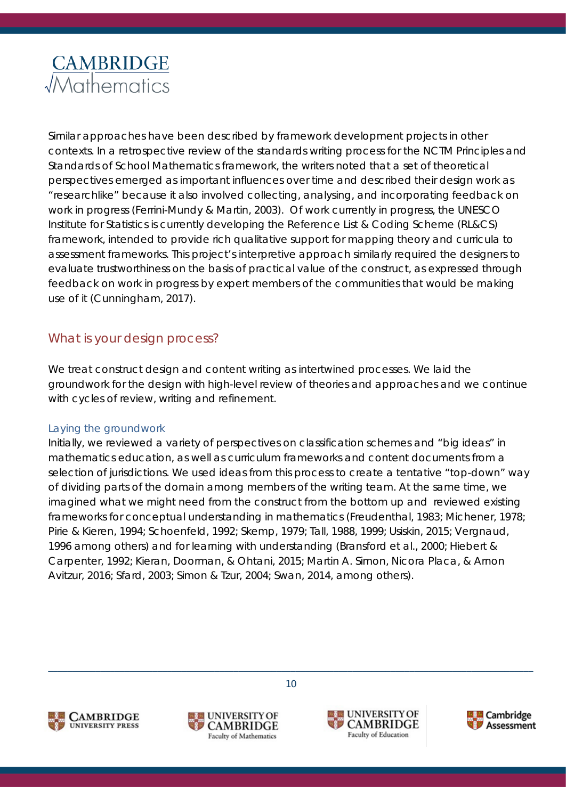

Similar approaches have been described by framework development projects in other contexts. In a retrospective review of the standards writing process for the NCTM *Principles and Standards of School Mathematics* framework, the writers noted that a set of theoretical perspectives emerged as important influences over time and described their design work as "researchlike" because it also involved collecting, analysing, and incorporating feedback on work in progress (Ferrini-Mundy & Martin, 2003). Of work currently in progress, the UNESCO Institute for Statistics is currently developing the Reference List & Coding Scheme (RL&CS) framework, intended to provide rich qualitative support for mapping theory and curricula to assessment frameworks. This project's interpretive approach similarly required the designers to evaluate trustworthiness on the basis of practical value of the construct, as expressed through feedback on work in progress by expert members of the communities that would be making use of it (Cunningham, 2017).

#### <span id="page-9-0"></span>What is your design process?

We treat construct design and content writing as intertwined processes. We laid the groundwork for the design with high-level review of theories and approaches and we continue with cycles of review, writing and refinement.

#### *Laying the groundwork*

Initially, we reviewed a variety of perspectives on classification schemes and "big ideas" in mathematics education, as well as curriculum frameworks and content documents from a selection of jurisdictions. We used ideas from this process to create a tentative "top-down" way of dividing parts of the domain among members of the writing team. At the same time, we imagined what we might need from the construct from the bottom up and reviewed existing frameworks for conceptual understanding in mathematics (Freudenthal, 1983; Michener, 1978; Pirie & Kieren, 1994; Schoenfeld, 1992; Skemp, 1979; Tall, 1988, 1999; Usiskin, 2015; Vergnaud, 1996 among others) and for learning with understanding (Bransford et al., 2000; Hiebert & Carpenter, 1992; Kieran, Doorman, & Ohtani, 2015; Martin A. Simon, Nicora Placa, & Arnon Avitzur, 2016; Sfard, 2003; Simon & Tzur, 2004; Swan, 2014, among others).







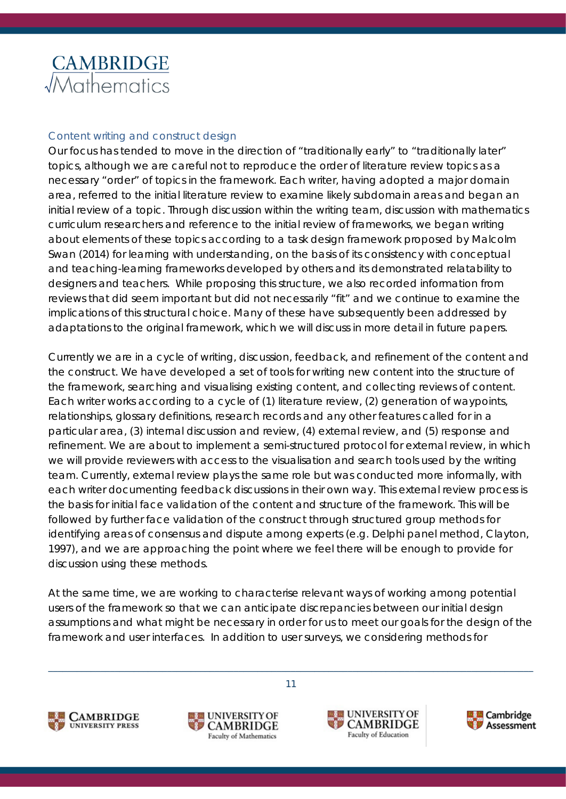#### *Content writing and construct design*

Our focus has tended to move in the direction of "traditionally early" to "traditionally later" topics, although we are careful not to reproduce the order of literature review topics as a necessary "order" of topics in the framework. Each writer, having adopted a major domain area, referred to the initial literature review to examine likely subdomain areas and began an initial review of a topic. Through discussion within the writing team, discussion with mathematics curriculum researchers and reference to the initial review of frameworks, we began writing about elements of these topics according to a task design framework proposed by Malcolm Swan (2014) for learning with understanding, on the basis of its consistency with conceptual and teaching-learning frameworks developed by others and its demonstrated relatability to designers and teachers. While proposing this structure, we also recorded information from reviews that did seem important but did not necessarily "fit" and we continue to examine the implications of this structural choice. Many of these have subsequently been addressed by adaptations to the original framework, which we will discuss in more detail in future papers.

Currently we are in a cycle of writing, discussion, feedback, and refinement of the content and the construct. We have developed a set of tools for writing new content into the structure of the framework, searching and visualising existing content, and collecting reviews of content. Each writer works according to a cycle of (1) literature review, (2) generation of waypoints, relationships, glossary definitions, research records and any other features called for in a particular area, (3) internal discussion and review, (4) external review, and (5) response and refinement. We are about to implement a semi-structured protocol for external review, in which we will provide reviewers with access to the visualisation and search tools used by the writing team. Currently, external review plays the same role but was conducted more informally, with each writer documenting feedback discussions in their own way. This external review process is the basis for initial face validation of the content and structure of the framework. This will be followed by further face validation of the construct through structured group methods for identifying areas of consensus and dispute among experts (e.g. Delphi panel method, Clayton, 1997), and we are approaching the point where we feel there will be enough to provide for discussion using these methods.

At the same time, we are working to characterise relevant ways of working among potential users of the framework so that we can anticipate discrepancies between our initial design assumptions and what might be necessary in order for us to meet our goals for the design of the framework and user interfaces. In addition to user surveys, we considering methods for







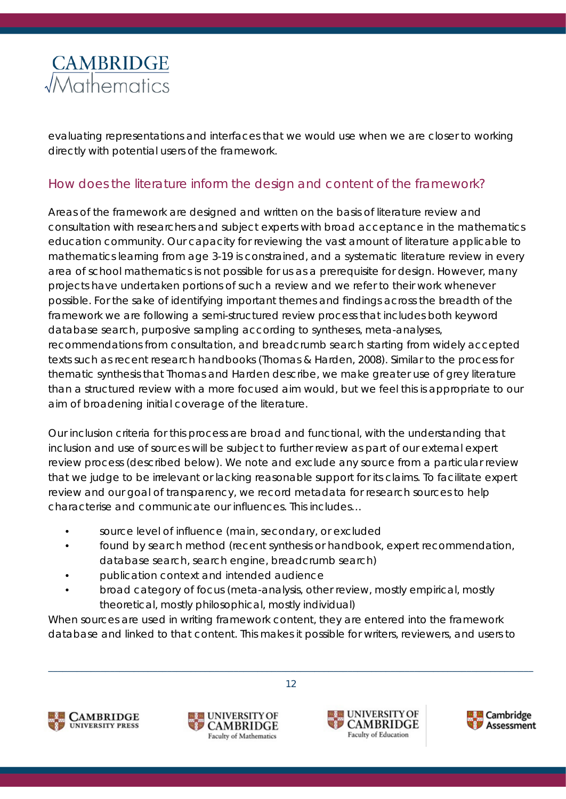

evaluating representations and interfaces that we would use when we are closer to working directly with potential users of the framework.

#### <span id="page-11-0"></span>How does the literature inform the design and content of the framework?

Areas of the framework are designed and written on the basis of literature review and consultation with researchers and subject experts with broad acceptance in the mathematics education community. Our capacity for reviewing the vast amount of literature applicable to mathematics learning from age 3-19 is constrained, and a systematic literature review in every area of school mathematics is not possible for us as a prerequisite for design. However, many projects have undertaken portions of such a review and we refer to their work whenever possible. For the sake of identifying important themes and findings across the breadth of the framework we are following a semi-structured review process that includes both keyword database search, purposive sampling according to syntheses, meta-analyses, recommendations from consultation, and breadcrumb search starting from widely accepted texts such as recent research handbooks (Thomas & Harden, 2008). Similar to the process for thematic synthesis that Thomas and Harden describe, we make greater use of grey literature than a structured review with a more focused aim would, but we feel this is appropriate to our aim of broadening initial coverage of the literature.

Our inclusion criteria for this process are broad and functional, with the understanding that inclusion and use of sources will be subject to further review as part of our external expert review process (described below). We note and exclude any source from a particular review that we judge to be irrelevant or lacking reasonable support for its claims. To facilitate expert review and our goal of transparency, we record metadata for research sources to help characterise and communicate our influences. This includes…

- source level of influence (main, secondary, or excluded
- found by search method (recent synthesis or handbook, expert recommendation, database search, search engine, breadcrumb search)
- publication context and intended audience
- broad category of focus (meta-analysis, other review, mostly empirical, mostly theoretical, mostly philosophical, mostly individual)

When sources are used in writing framework content, they are entered into the framework database and linked to that content. This makes it possible for writers, reviewers, and users to







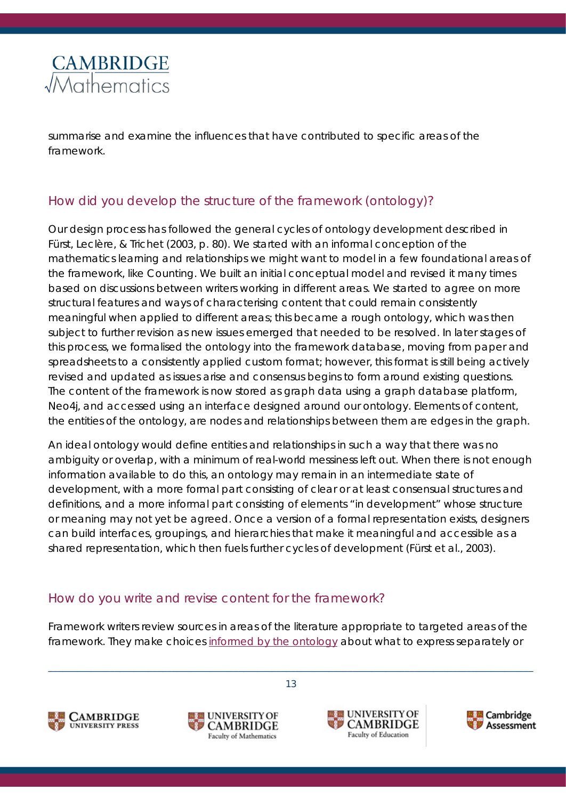

summarise and examine the influences that have contributed to specific areas of the framework.

#### <span id="page-12-0"></span>How did you develop the structure of the framework (ontology)?

Our design process has followed the general cycles of ontology development described in Fürst, Leclère, & Trichet (2003, p. 80). We started with an informal conception of the mathematics learning and relationships we might want to model in a few foundational areas of the framework, like *Counting*. We built an initial conceptual model and revised it many times based on discussions between writers working in different areas. We started to agree on more structural features and ways of characterising content that could remain consistently meaningful when applied to different areas; this became a rough ontology, which was then subject to further revision as new issues emerged that needed to be resolved. In later stages of this process, we formalised the ontology into the framework database, moving from paper and spreadsheets to a consistently applied custom format; however, this format is still being actively revised and updated as issues arise and consensus begins to form around existing questions. The content of the framework is now stored as graph data using a graph database platform, Neo4j, and accessed using an interface designed around our ontology. Elements of content, the entities of the ontology, are *nodes* and relationships between them are *edges* in the graph.

An ideal ontology would define entities and relationships in such a way that there was no ambiguity or overlap, with a minimum of real-world messiness left out. When there is not enough information available to do this, an ontology may remain in an intermediate state of development, with a more formal part consisting of clear or at least consensual structures and definitions, and a more informal part consisting of elements "in development" whose structure or meaning may not yet be agreed. Once a version of a formal representation exists, designers can build interfaces, groupings, and hierarchies that make it meaningful and accessible as a shared representation, which then fuels further cycles of development (Fürst et al., 2003).

#### <span id="page-12-1"></span>How do you write and revise content for the framework?

Framework writers review sources in areas of the literature appropriate to targeted areas of the framework. They make choices [informed by the ontology](#page-12-0) about what to express separately or

\_\_\_\_\_\_\_\_\_\_\_\_\_\_\_\_\_\_\_\_\_\_\_\_\_\_\_\_\_\_\_\_\_\_\_\_\_\_\_\_\_\_\_\_\_\_\_\_\_\_\_\_\_\_\_\_\_\_\_\_\_\_\_\_\_\_\_\_\_\_\_\_\_\_\_\_\_\_\_\_\_\_\_\_\_\_\_\_\_\_\_\_\_\_\_\_\_\_\_\_\_\_









13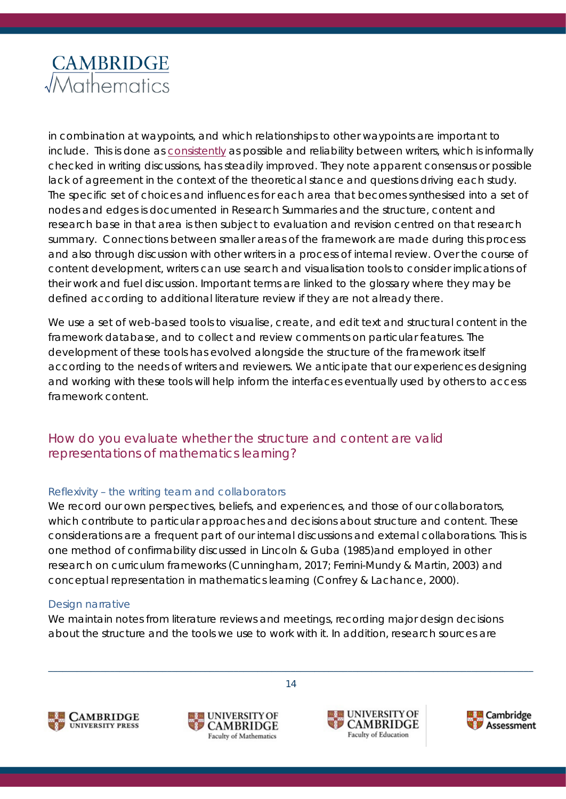

in combination at waypoints, and which relationships to other waypoints are important to include. This is done as [consistently](#page-9-0) as possible and reliability between writers, which is informally checked in writing discussions, has steadily improved. They note apparent consensus or possible lack of agreement in the context of the theoretical stance and questions driving each study. The specific set of choices and influences for each area that becomes synthesised into a set of nodes and edges is documented in Research Summaries and the structure, content and research base in that area is then subject to evaluation and revision centred on that research summary. Connections between smaller areas of the framework are made during this process and also through discussion with other writers in a process of internal review. Over the course of content development, writers can use search and visualisation tools to consider implications of their work and fuel discussion. Important terms are linked to the glossary where they may be defined according to additional literature review if they are not already there.

We use a set of web-based tools to visualise, create, and edit text and structural content in the framework database, and to collect and review comments on particular features. The development of these tools has evolved alongside the structure of the framework itself according to the needs of writers and reviewers. We anticipate that our experiences designing and working with these tools will help inform the interfaces eventually used by others to access framework content.

#### <span id="page-13-0"></span>How do you evaluate whether the structure and content are valid representations of mathematics learning?

#### *Reflexivity – the writing team and collaborators*

We record our own perspectives, beliefs, and experiences, and those of our collaborators, which contribute to particular approaches and decisions about structure and content. These considerations are a frequent part of our internal discussions and external collaborations. This is one method of confirmability discussed in Lincoln & Guba (1985)and employed in other research on curriculum frameworks (Cunningham, 2017; Ferrini-Mundy & Martin, 2003) and conceptual representation in mathematics learning (Confrey & Lachance, 2000).

#### *Design narrative*

We maintain notes from literature reviews and meetings, recording major design decisions about the structure and the tools we use to work with it. In addition, research sources are







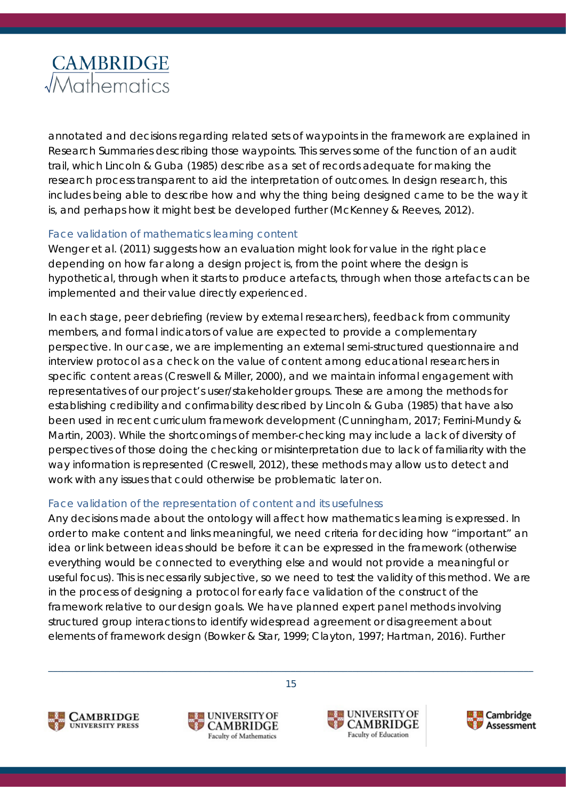annotated and decisions regarding related sets of waypoints in the framework are explained in Research Summaries describing those waypoints. This serves some of the function of an audit trail, which Lincoln & Guba (1985) describe as a set of records adequate for making the research process transparent to aid the interpretation of outcomes. In design research, this includes being able to describe how and why the thing being designed came to be the way it is, and perhaps how it might best be developed further (McKenney & Reeves, 2012).

#### *Face validation of mathematics learning content*

Wenger et al. (2011) suggests how an evaluation might look for value in the right place depending on how far along a design project is, from the point where the design is hypothetical, through when it starts to produce artefacts, through when those artefacts can be implemented and their value directly experienced.

In each stage, peer debriefing (review by external researchers), feedback from community members, and formal indicators of value are expected to provide a complementary perspective. In our case, we are implementing an external semi-structured questionnaire and interview protocol as a check on the value of content among educational researchers in specific content areas (Creswell & Miller, 2000), and we maintain informal engagement with representatives of our project's user/stakeholder groups. These are among the methods for establishing credibility and confirmability described by Lincoln & Guba (1985) that have also been used in recent curriculum framework development (Cunningham, 2017; Ferrini-Mundy & Martin, 2003). While the shortcomings of member-checking may include a lack of diversity of perspectives of those doing the checking or misinterpretation due to lack of familiarity with the way information is represented (Creswell, 2012), these methods may allow us to detect and work with any issues that could otherwise be problematic later on.

#### *Face validation of the representation of content and its usefulness*

Any decisions made about the ontology will affect how mathematics learning is expressed. In order to make content and links meaningful, we need criteria for deciding how "important" an idea or link between ideas should be before it can be expressed in the framework (otherwise everything would be connected to everything else and would not provide a meaningful or useful focus). This is necessarily subjective, so we need to test the validity of this method. We are in the process of designing a protocol for early face validation of the construct of the framework relative to our design goals. We have planned expert panel methods involving structured group interactions to identify widespread agreement or disagreement about elements of framework design (Bowker & Star, 1999; Clayton, 1997; Hartman, 2016). Further







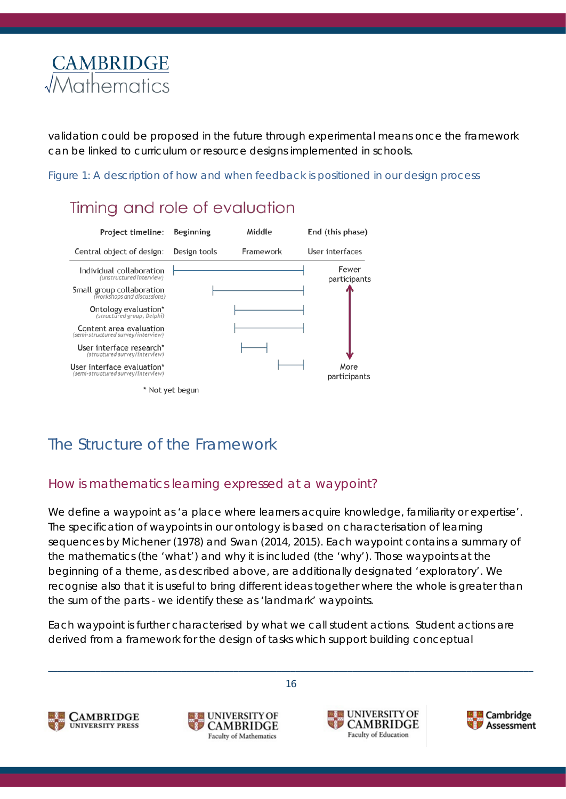

validation could be proposed in the future through experimental means once the framework can be linked to curriculum or resource designs implemented in schools.

*Figure 1: A description of how and when feedback is positioned in our design process*

## Timing and role of evaluation



## <span id="page-15-0"></span>The Structure of the Framework

#### <span id="page-15-2"></span><span id="page-15-1"></span>How is mathematics learning expressed at a waypoint?

We define a *waypoint* as 'a place where learners acquire knowledge, familiarity or expertise'. The specification of waypoints in our ontology is based on characterisation of learning sequences by Michener (1978) and Swan (2014, 2015). Each waypoint contains a summary of the mathematics (the 'what') and why it is included (the 'why'). Those waypoints at the beginning of a theme, as described above, are additionally designated 'exploratory'. We recognise also that it is useful to bring different ideas together where the whole is greater than the sum of the parts - we identify these as 'landmark' waypoints.

Each waypoint is further characterised by what we call *student actions*. Student actions are derived from a framework for the design of tasks which support building conceptual







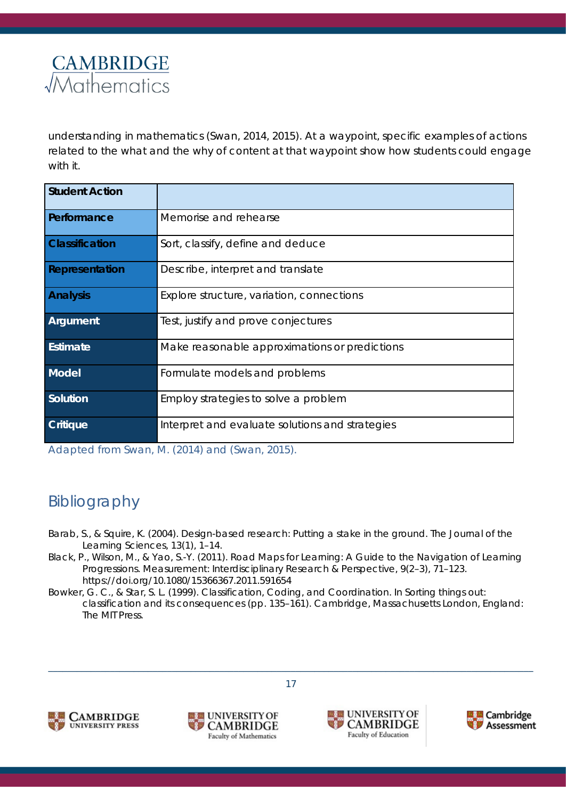

understanding in mathematics (Swan, 2014, 2015). At a waypoint, specific examples of actions related to the *what* and the *why* of content at that waypoint show *how* students could engage with it.

| <b>Student Action</b> |                                                 |
|-----------------------|-------------------------------------------------|
| Performance           | Memorise and rehearse                           |
| <b>Classification</b> | Sort, classify, define and deduce               |
| Representation        | Describe, interpret and translate               |
| <b>Analysis</b>       | Explore structure, variation, connections       |
| Argument              | Test, justify and prove conjectures             |
| Estimate              | Make reasonable approximations or predictions   |
| Model                 | Formulate models and problems                   |
| Solution              | Employ strategies to solve a problem            |
| <b>Critique</b>       | Interpret and evaluate solutions and strategies |

*Adapted from Swan, M. (2014) and (Swan, 2015).*

## <span id="page-16-0"></span>Bibliography

- Barab, S., & Squire, K. (2004). Design-based research: Putting a stake in the ground. *The Journal of the Learning Sciences*, *13*(1), 1–14.
- Black, P., Wilson, M., & Yao, S.-Y. (2011). Road Maps for Learning: A Guide to the Navigation of Learning Progressions. *Measurement: Interdisciplinary Research & Perspective*, *9*(2–3), 71–123. https://doi.org/10.1080/15366367.2011.591654
- Bowker, G. C., & Star, S. L. (1999). Classification, Coding, and Coordination. In *Sorting things out: classification and its consequences* (pp. 135–161). Cambridge, Massachusetts London, England: The MIT Press.







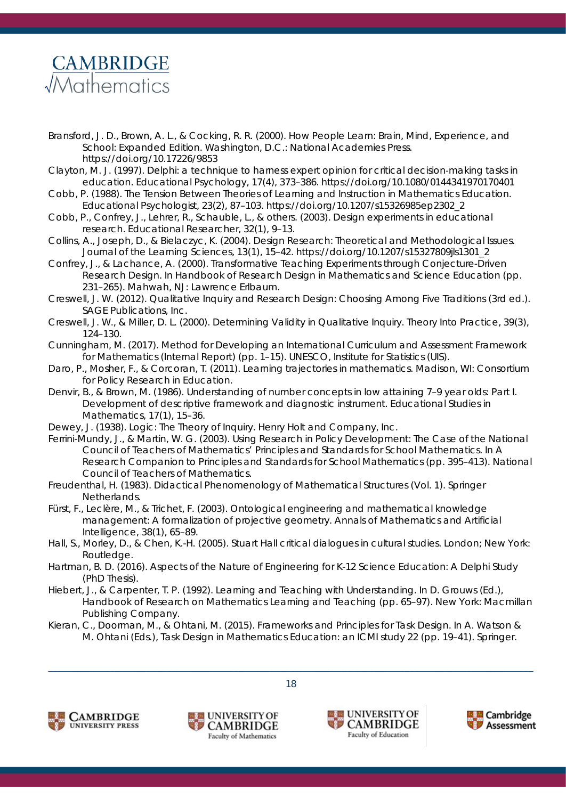

- Bransford, J. D., Brown, A. L., & Cocking, R. R. (2000). *How People Learn: Brain, Mind, Experience, and School: Expanded Edition*. Washington, D.C.: National Academies Press. https://doi.org/10.17226/9853
- Clayton, M. J. (1997). Delphi: a technique to harness expert opinion for critical decision‐making tasks in education. *Educational Psychology*, *17*(4), 373–386. https://doi.org/10.1080/0144341970170401
- Cobb, P. (1988). The Tension Between Theories of Learning and Instruction in Mathematics Education. *Educational Psychologist*, *23*(2), 87–103. https://doi.org/10.1207/s15326985ep2302\_2
- Cobb, P., Confrey, J., Lehrer, R., Schauble, L., & others. (2003). Design experiments in educational research. *Educational Researcher*, *32*(1), 9–13.
- Collins, A., Joseph, D., & Bielaczyc, K. (2004). Design Research: Theoretical and Methodological Issues. *Journal of the Learning Sciences*, *13*(1), 15–42. https://doi.org/10.1207/s15327809jls1301\_2
- Confrey, J., & Lachance, A. (2000). Transformative Teaching Experiments through Conjecture-Driven Research Design. In *Handbook of Research Design in Mathematics and Science Education* (pp. 231–265). Mahwah, NJ: Lawrence Erlbaum.
- Creswell, J. W. (2012). *Qualitative Inquiry and Research Design: Choosing Among Five Traditions* (3rd ed.). SAGE Publications, Inc.
- Creswell, J. W., & Miller, D. L. (2000). Determining Validity in Qualitative Inquiry. *Theory Into Practice*, *39*(3), 124–130.
- Cunningham, M. (2017). *Method for Developing an International Curriculum and Assessment Framework for Mathematics* (Internal Report) (pp. 1–15). UNESCO, Institute for Statistics (UIS).
- Daro, P., Mosher, F., & Corcoran, T. (2011). Learning trajectories in mathematics. *Madison, WI: Consortium for Policy Research in Education*.
- Denvir, B., & Brown, M. (1986). Understanding of number concepts in low attaining 7–9 year olds: Part I. Development of descriptive framework and diagnostic instrument. *Educational Studies in Mathematics*, *17*(1), 15–36.
- Dewey, J. (1938). *Logic: The Theory of Inquiry*. Henry Holt and Company, Inc.
- Ferrini-Mundy, J., & Martin, W. G. (2003). Using Research in Policy Development: The Case of the National Council of Teachers of Mathematics' Principles and Standards for School Mathematics. In *A Research Companion to Principles and Standards for School Mathematics* (pp. 395–413). National Council of Teachers of Mathematics.
- Freudenthal, H. (1983). *Didactical Phenomenology of Mathematical Structures* (Vol. 1). Springer Netherlands.
- Fürst, F., Leclère, M., & Trichet, F. (2003). Ontological engineering and mathematical knowledge management: A formalization of projective geometry. *Annals of Mathematics and Artificial Intelligence*, *38*(1), 65–89.
- Hall, S., Morley, D., & Chen, K.-H. (2005). *Stuart Hall critical dialogues in cultural studies*. London; New York: Routledge.
- Hartman, B. D. (2016). *Aspects of the Nature of Engineering for K-12 Science Education: A Delphi Study* (PhD Thesis).
- Hiebert, J., & Carpenter, T. P. (1992). Learning and Teaching with Understanding. In D. Grouws (Ed.), *Handbook of Research on Mathematics Learning and Teaching* (pp. 65–97). New York: Macmillan Publishing Company.
- Kieran, C., Doorman, M., & Ohtani, M. (2015). Frameworks and Principles for Task Design. In A. Watson & M. Ohtani (Eds.), *Task Design in Mathematics Education: an ICMI study 22* (pp. 19–41). Springer.







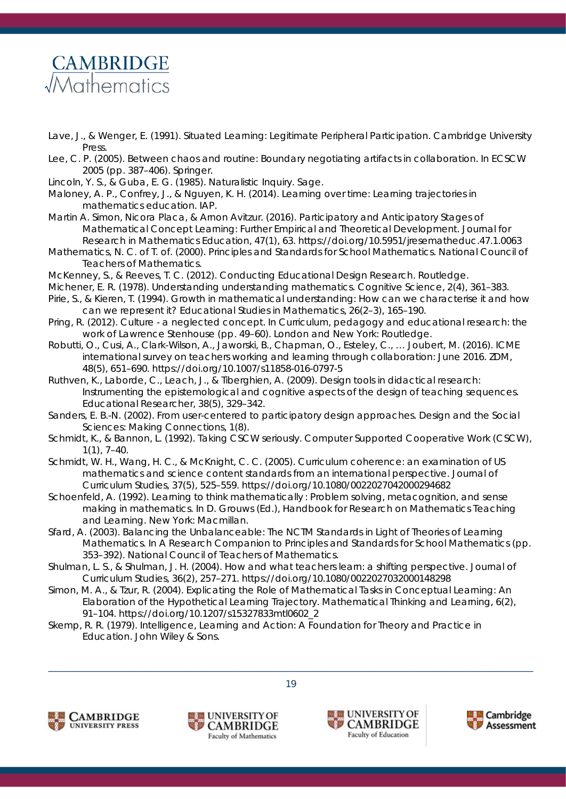## **CAMBRIDGE** *Mathematics*

- Lave, J., & Wenger, E. (1991). *Situated Learning: Legitimate Peripheral Participation*. Cambridge University **Press**
- Lee, C. P. (2005). Between chaos and routine: Boundary negotiating artifacts in collaboration. In *ECSCW 2005* (pp. 387–406). Springer.
- Lincoln, Y. S., & Guba, E. G. (1985). *Naturalistic Inquiry*. Sage.
- Maloney, A. P., Confrey, J., & Nguyen, K. H. (2014). *Learning over time: Learning trajectories in mathematics education*. IAP.
- Martin A. Simon, Nicora Placa, & Arnon Avitzur. (2016). Participatory and Anticipatory Stages of Mathematical Concept Learning: Further Empirical and Theoretical Development. *Journal for Research in Mathematics Education*, *47*(1), 63. https://doi.org/10.5951/jresematheduc.47.1.0063
- Mathematics, N. C. of T. of. (2000). *Principles and Standards for School Mathematics*. National Council of Teachers of Mathematics.
- McKenney, S., & Reeves, T. C. (2012). *Conducting Educational Design Research*. Routledge.
- Michener, E. R. (1978). Understanding understanding mathematics. *Cognitive Science*, *2*(4), 361–383.
- Pirie, S., & Kieren, T. (1994). Growth in mathematical understanding: How can we characterise it and how can we represent it? *Educational Studies in Mathematics*, *26*(2–3), 165–190.
- Pring, R. (2012). Culture a neglected concept. In *Curriculum, pedagogy and educational research: the work of Lawrence Stenhouse* (pp. 49–60). London and New York: Routledge.
- Robutti, O., Cusi, A., Clark-Wilson, A., Jaworski, B., Chapman, O., Esteley, C., … Joubert, M. (2016). ICME international survey on teachers working and learning through collaboration: June 2016. *ZDM*, *48*(5), 651–690. https://doi.org/10.1007/s11858-016-0797-5
- Ruthven, K., Laborde, C., Leach, J., & Tiberghien, A. (2009). Design tools in didactical research: Instrumenting the epistemological and cognitive aspects of the design of teaching sequences. *Educational Researcher*, *38*(5), 329–342.
- Sanders, E. B.-N. (2002). From user-centered to participatory design approaches. *Design and the Social Sciences: Making Connections*, *1*(8).
- Schmidt, K., & Bannon, L. (1992). Taking CSCW seriously. *Computer Supported Cooperative Work (CSCW)*, *1*(1), 7–40.
- Schmidt, W. H., Wang, H. C., & McKnight, C. C. (2005). Curriculum coherence: an examination of US mathematics and science content standards from an international perspective. *Journal of Curriculum Studies*, *37*(5), 525–559. https://doi.org/10.1080/0022027042000294682
- Schoenfeld, A. (1992). Learning to think mathematically : Problem solving, metacognition, and sense making in mathematics. In D. Grouws (Ed.), *Handbook for Research on Mathematics Teaching and Learning*. New York: Macmillan.
- Sfard, A. (2003). Balancing the Unbalanceable: The NCTM Standards in Light of Theories of Learning Mathematics. In *A Research Companion to Principles and Standards for School Mathematics* (pp. 353–392). National Council of Teachers of Mathematics.
- Shulman, L. S., & Shulman, J. H. (2004). How and what teachers learn: a shifting perspective. *Journal of Curriculum Studies*, *36*(2), 257–271. https://doi.org/10.1080/0022027032000148298
- Simon, M. A., & Tzur, R. (2004). Explicating the Role of Mathematical Tasks in Conceptual Learning: An Elaboration of the Hypothetical Learning Trajectory. *Mathematical Thinking and Learning*, *6*(2), 91–104. https://doi.org/10.1207/s15327833mtl0602\_2

\_\_\_\_\_\_\_\_\_\_\_\_\_\_\_\_\_\_\_\_\_\_\_\_\_\_\_\_\_\_\_\_\_\_\_\_\_\_\_\_\_\_\_\_\_\_\_\_\_\_\_\_\_\_\_\_\_\_\_\_\_\_\_\_\_\_\_\_\_\_\_\_\_\_\_\_\_\_\_\_\_\_\_\_\_\_\_\_\_\_\_\_\_\_\_\_\_\_\_\_\_\_ 19

Skemp, R. R. (1979). *Intelligence, Learning and Action: A Foundation for Theory and Practice in Education*. John Wiley & Sons.